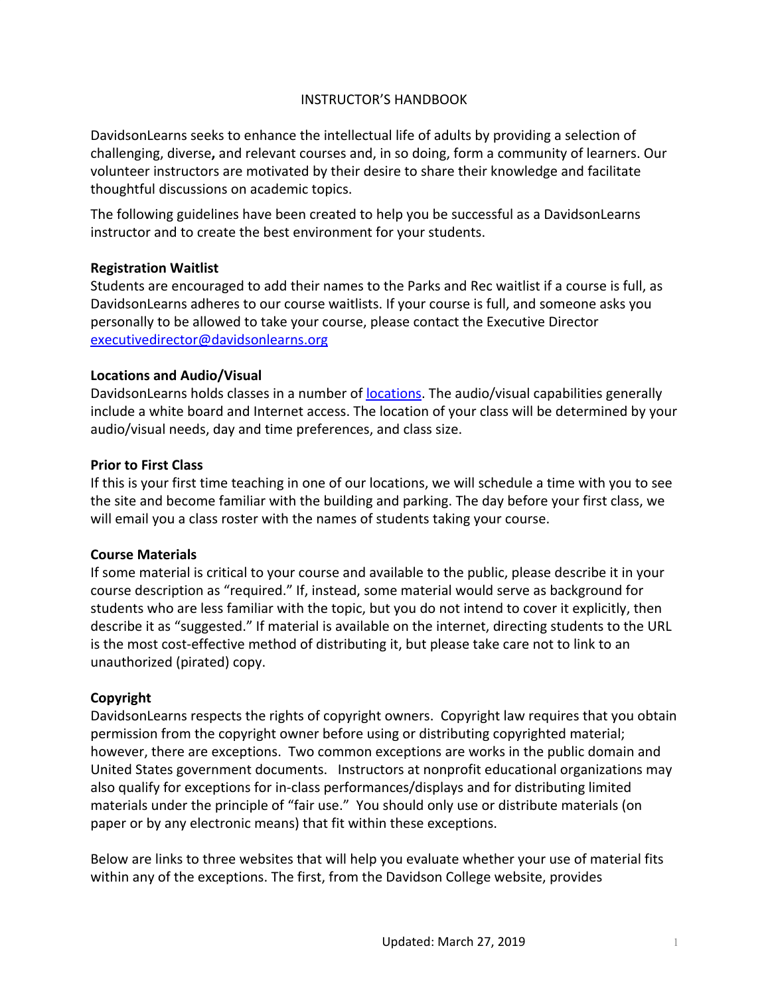# INSTRUCTOR'S HANDBOOK

DavidsonLearns seeks to enhance the intellectual life of adults by providing a selection of challenging, diverse**,** and relevant courses and, in so doing, form a community of learners. Our volunteer instructors are motivated by their desire to share their knowledge and facilitate thoughtful discussions on academic topics.

The following guidelines have been created to help you be successful as a DavidsonLearns instructor and to create the best environment for your students.

### **Registration Waitlist**

Students are encouraged to add their names to the Parks and Rec waitlist if a course is full, as DavidsonLearns adheres to our course waitlists. If your course is full, and someone asks you personally to be allowed to take your course, please contact the Executive Director [executivedirector@davidsonlearns.org](mailto:executivedirector@davidsonlearns.org)

#### **Locations and Audio/Visual**

DavidsonLearns holds classes in a number of **locations**. The audio/visual capabilities generally include a white board and Internet access. The location of your class will be determined by your audio/visual needs, day and time preferences, and class size.

#### **Prior to First Class**

If this is your first time teaching in one of our locations, we will schedule a time with you to see the site and become familiar with the building and parking. The day before your first class, we will email you a class roster with the names of students taking your course.

#### **Course Materials**

If some material is critical to your course and available to the public, please describe it in your course description as "required." If, instead, some material would serve as background for students who are less familiar with the topic, but you do not intend to cover it explicitly, then describe it as "suggested." If material is available on the internet, directing students to the URL is the most cost-effective method of distributing it, but please take care not to link to an unauthorized (pirated) copy.

### **Copyright**

DavidsonLearns respects the rights of copyright owners. Copyright law requires that you obtain permission from the copyright owner before using or distributing copyrighted material; however, there are exceptions. Two common exceptions are works in the public domain and United States government documents. Instructors at nonprofit educational organizations may also qualify for exceptions for in-class performances/displays and for distributing limited materials under the principle of "fair use." You should only use or distribute materials (on paper or by any electronic means) that fit within these exceptions.

Below are links to three websites that will help you evaluate whether your use of material fits within any of the exceptions. The first, from the Davidson College website, provides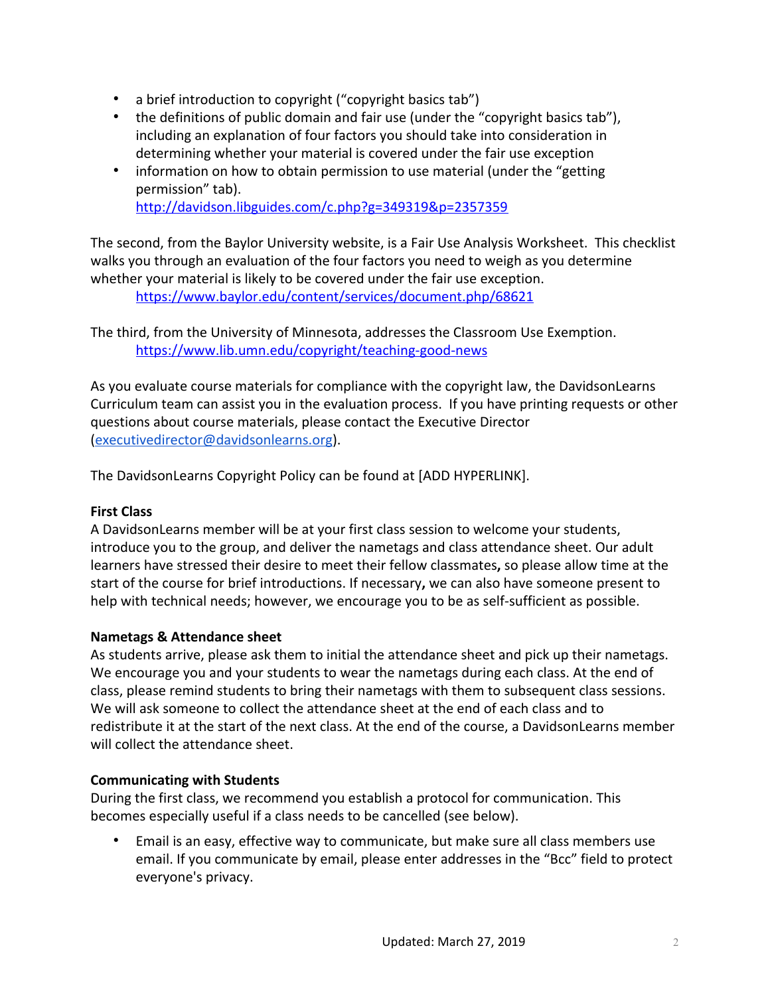- a brief introduction to copyright ("copyright basics tab")
- the definitions of public domain and fair use (under the "copyright basics tab"), including an explanation of four factors you should take into consideration in determining whether your material is covered under the fair use exception
- information on how to obtain permission to use material (under the "getting" permission" tab). <http://davidson.libguides.com/c.php?g=349319&p=2357359>

The second, from the Baylor University website, is a Fair Use Analysis Worksheet. This checklist walks you through an evaluation of the four factors you need to weigh as you determine whether your material is likely to be covered under the fair use exception.

<https://www.baylor.edu/content/services/document.php/68621>

The third, from the University of Minnesota, addresses the Classroom Use Exemption. <https://www.lib.umn.edu/copyright/teaching-good-news>

As you evaluate course materials for compliance with the copyright law, the DavidsonLearns Curriculum team can assist you in the evaluation process. If you have printing requests or other questions about course materials, please contact the Executive Director ([executivedirector@davidsonlearns.org\)](mailto:executivedirector@davidsonlearns.org).

The DavidsonLearns Copyright Policy can be found at [ADD HYPERLINK].

### **First Class**

A DavidsonLearns member will be at your first class session to welcome your students, introduce you to the group, and deliver the nametags and class attendance sheet. Our adult learners have stressed their desire to meet their fellow classmates**,** so please allow time at the start of the course for brief introductions. If necessary**,** we can also have someone present to help with technical needs; however, we encourage you to be as self-sufficient as possible.

### **Nametags & Attendance sheet**

As students arrive, please ask them to initial the attendance sheet and pick up their nametags. We encourage you and your students to wear the nametags during each class. At the end of class, please remind students to bring their nametags with them to subsequent class sessions. We will ask someone to collect the attendance sheet at the end of each class and to redistribute it at the start of the next class. At the end of the course, a DavidsonLearns member will collect the attendance sheet.

### **Communicating with Students**

During the first class, we recommend you establish a protocol for communication. This becomes especially useful if a class needs to be cancelled (see below).

• Email is an easy, effective way to communicate, but make sure all class members use email. If you communicate by email, please enter addresses in the "Bcc" field to protect everyone's privacy.